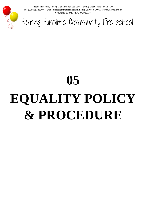

Fledglings Lodge, Ferring C of E School, Sea Lane, Ferring, West Sussex BN12 5DU Tel: (01903) 245907 Email: officeadmin@ferringfuntime.org.uk Web: www.ferringfuntime.org.uk *Registered Charity Number 1023780*

Ferring Funtime Community Pre-school

# **05 EQUALITY POLICY & PROCEDURE**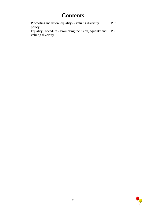# **Contents**

| 05   | Promoting inclusion, equality $\&$ valuing diversity                                  | P.3  |
|------|---------------------------------------------------------------------------------------|------|
| 05.1 | policy<br>Equality Procedure - Promoting inclusion, equality and<br>valuing diversity | P. 6 |

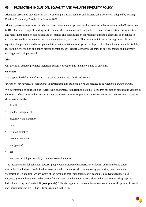### **05 PROMOTING INCLUSION, EQUALITY AND VALUING DIVERSITY POLICY**

Alongside associated procedures in 05.1 Promoting inclusion, equality and diversity, this policy was adopted by Ferring Funtime Community Preschool in October 2021.

All early years settings must consider and meet relevant employer and service provider duties as set out in the Equality Act (2010). Those in receipt of funding must eliminate discrimination including indirect, direct discrimination, discrimination and harassment based on association and perception and discrimination for reason relating to a disability or by failing to make a reasonable adjustment to any provision, criterion, or practice. This duty is anticipatory. Settings must advance equality of opportunity and foster good relations with individuals and groups with protected characteristics namely disability, race (ethnicity), religion and belief, sexual orientation, sex (gender), gender reassignment, age, pregnancy and maternity, marriage, and civil partnership.

#### **Aim**

Our provision actively promotes inclusion, equality of opportunity and the valuing of diversity.

#### **Objectives**

We support the definition of inclusion as stated by the Early Childhood Forum:

'*Inclusion is the process of identifying, understanding and breaking down the barriers to participation and belonging.'*

We interpret this as consisting of several tasks and processes in relation not only to children but also to parents and visitors in the setting. These tasks and processes include awareness and knowledge of relevant barriers to inclusion for those with a protected characteristic namely:

- disability
- gender reassignment
- pregnancy and maternity
- race
- religion or belief
- sexual orientation
- sex (gender)
- age
- marriage or civil partnership (in relation to employment)

This includes unlawful behaviour towards people with protected characteristics. Unlawful behaviour being direct discrimination, indirect discrimination, associative discrimination, discrimination by perception, harassment, and victimisation (in addition, we are aware of the inequality that users facing socio-economic disadvantaged may also encounter). We will not tolerate behaviour from an adult which demonstrates dislike and prejudice towards groups and individuals living outside the UK (**xenophobia**). This also applies to the same behaviour towards specific groups of people and individuals who are British Citizens residing in the UK.

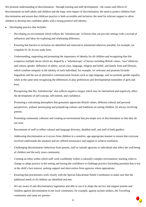We promote understanding of discrimination - through training and staff development - the causes and effects of discrimination on both adults and children and the long- term impact of discrimination; the need to protect children from discrimination and ensure that childcare practice is both accessible and inclusive; the need for relevant support to allow children to develop into confident adults with a strong positive self-identity.

- Developing practice that includes:
	- Developing an environment which reflects the 'kaleidoscope' of factors that can provide settings with a myriad of influences and ideas for exploring and celebrating difference.
	- Ensuring that barriers to inclusion are identified and removed or minimised wherever possible; for example, we complete 01.1b Access audit form.
	- Understanding, supporting and promoting the importance of identity for all children and recognising that this comprises multiple facets which are shaped by a 'kaleidoscope' of factors including British values, 'race'\ethnicity and culture, gender, difference of ability, social class, language, religion and belief, and family form and lifestyle, which combine uniquely in the identity of each individual; for example, we welcome and promote bi/multilingualism and the use of alternative communication formats such as sign language, and we promote gender equality while at the same time recognising the differences in play preferences and developmental timetables of girls and boys.
	- Recognising that this 'kaleidoscope' also reflects negative images which may be internalised and negatively affect the development of self-concept, self-esteem, and confidence.
	- Promoting a welcoming atmosphere that genuinely appreciate British values, different cultural and personal perspectives, without stereotyping and prejudicing cultures and traditions on raising children, by always involving parents.
	- Promoting community cohesion and creating an environment that pre-empts acts of discrimination so that they do not arise.
	- Recruitment of staff to reflect cultural and language diversity, disabled staff, and staff of both genders.
	- Addressing discrimination as it occurs from children in a sensitive, age-appropriate manner to ensure that everyone involved understands the situation and are offered reassurance and support to achieve resolution.
	- Challenging discriminatory behaviour from parents, staff or outside agencies or individuals that affect the well-being of children and the early years community.
	- Creating an ethos within which staff work confidently within a culturally complex environment; learning when to change or adapt practice in the setting and having the confidence to challenge practice (including parental) that is not in the child's best interest, seeking support and intervention from agencies where appropriate.
	- Ensuring that practitioners work closely with the Special Educational Needs Coordinator to make sure that the additional needs of all children are identified and met.
	- We are aware of anti-discriminatory legislation and able to use it to shape the service and support parents and children against discrimination in the local community, for example, against asylum seekers, the Travelling community and same sex parents.

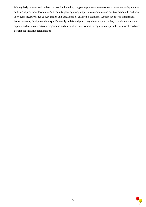- We regularly monitor and review our practice including long-term preventative measures to ensure equality such as auditing of provision, formulating an equality plan, applying impact measurements and positive actions. In addition, short term measures such as recognition and assessment of children's additional support needs (e.g. impairment, home language, family hardship, specific family beliefs and practices), day-to-day activities, provision of suitable support and resources, activity programme and curriculum., assessment, recognition of special educational needs and developing inclusive relationships.

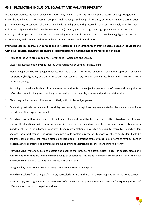## **05.1 PROMOTING INCLUSION, EQUALITY AND VALUING DIVERSITY**

We actively promote inclusion, equality of opportunity and value diversity. All early years setting have legal obligations under the Equality Act 2010. Those in receipt of public funding also have public equality duties to eliminate discrimination, promote equality, foster good relations with individuals and groups with protected characteristics namely disability, race (ethnicity), religion and belief, sexual orientation, sex (gender), gender reassignment, age, pregnancy and maternity, marriage and civil partnership. Settings also have obligations under the Prevent Duty (2015) which highlights the need to foster equality and prevent children from being drawn into harm and radicalisation.

# **Promoting identity, positive self-concept and self-esteem for all children through treating each child as an individual and with equal concern, ensuring each child's developmental and emotional needs are recognised and met.**

- Promoting inclusive practice to ensure every child is welcomed and valued.
- Discussing aspects of family/child identity with parents when settling in a new child.
- Maintaining a positive non-judgemental attitude and use of language with children to talk about topics such as family composition/background, eye and skin colour, hair texture, sex, gender, physical attributes and languages spoken (including signing).
- Becoming knowledgeable about different cultures, and individual subjective perceptions of these and being able to reflect them imaginatively and creatively in the setting to create pride, interest and positive self-identity.
- Discussing similarities and differences positively without bias and judgement.
- Celebrating festivals, holy days and special days authentically through involving parents, staff or the wider community to provide a positive experience for all.
- Providing books with positive images of children and families from all backgrounds and abilities. Avoiding caricatures or cartoon-like depictions, and ensuring individual differences are portrayed with sensitive accuracy. The central characters in individual stories should provide a positive, broad representation of diversity e.g. disability, ethnicity, sex and gender, age and social backgrounds. Individual storylines should contain a range of situations which are easily identifiable by children such as those that include disabled children/adults, different ethnic groups, mixed heritage families, gender diversity, single sex/same and different sex families, multi-generational households and cultural diversity.
- Providing visual materials, such as posters and pictures that provide non-stereotypical images of people, places and cultures and roles that are within children's range of experience. This includes photographs taken by staff of the local and wider community, of parents and families and local events.
- Using textiles, prints, sculptures or carvings from diverse cultures in displays.
- Providing artefacts from a range of cultures, particularly for use in all areas of the setting, not just in the home corner.
- Ensuring toys, learning materials and resources reflect diversity and provide relevant materials for exploring aspects of difference, such as skin tone paints and pens.

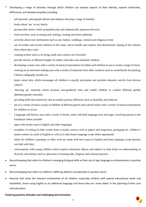- Developing a range of activities through which children can explore aspects of their identity, explore similarities, differences and develop empathy including:
	- self-portraits, photograph albums and displays showing a range of families
	- books about 'me' or my family
	- persona doll stories which sympathetically and authentically represent diversity
	- food activities, such as tasting and cooking, creating real menu additions
	- activities about real celebrations such as new babies, weddings, cultural and religious events
	- use of textiles and secular artefacts in the room, and to handle and explore, that demonstrate valuing of the cultures from which they come
	- creating textiles such as tie dying, batik and creative use of textiles
	- provide mirrors at different heights for babies and other non-ambulant children
	- developing a music area with a variety of musical instruments for babies and children to use to create a range of music.
	- creating an art and mark making area with a variety of materials from other countries such as wood blocks for printing, Chinese calligraphy brushes etc.
	- home corner play which encourages all children to equally participate and provides domestic articles from diverse cultures
	- 'dressing up' materials which promote non-gendered roles and enable children to explore different gender identities/gender neutrality
	- providing dolls that sensitively and accurately portray difference such as disability and ethnicity
	- use of a variety of music to play to children of different genres and cultural styles with a variety of musical instruments for children to access
	- a language and literacy area with a variety of books, some with dual language texts and signs, involving parents in the translation where possible
	- tapes with stories read in English and other languages
	- examples of writing in other scripts from everyday sources such as papers and magazines, packaging etc. children's names written on cards in English as well as in their home language script where appropriate
	- labels for children's paintings or other work are made with their name in English and home language script (parents can help with this)
	- conversations with young children which explore unfamiliar objects and subjects to help foster an understanding of diversity and identity such as spectacles or hearing aids, religious and cultural practices
- Record keeping that refers to children's emerging bilingual skills or their use of sign language as achievements in positive terms.
- Record keeping that refers to children's differing abilities and identities in positive terms.
- Records that show the relevant involvement of all children, especially children with special educational needs and disabilities, those using English as an additional language and those who are 'more abled' in the planning of their care and education.

#### **Fostering positive attitudes and challenging discrimination.**

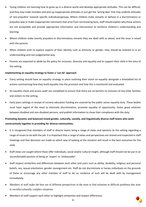- Young children are learning how to grow up in a diverse world and develop appropriate attitudes. This can be difficult, and they may make mistakes and pick up inappropriate attitudes or just get the 'wrong idea' that may underlie attitudes of 'pre-prejudice' towards specific individuals/groups. Where children make remarks or behave in a discriminatory or prejudice way or make inappropriate comments that arise from not knowing facts, staff should explain why these actions are not acceptable and provide appropriate information and intervention to reinforce children's understanding and learning.
- Where children make overtly prejudice or discriminatory remarks they are dealt with as above, and the issue is raised with the parents.
- When children wish to explore aspects of their identity such as ethnicity or gender, they should be listened to in an understanding and non-judgemental way.
- Parents are expected to abide by the policy for inclusion, diversity and equality and to support their child in the aims of the setting.

#### **Implementing an equality strategy to foster a 'can do' approach**

- Every setting should have an equality strategy in place outlining their vision on equality alongside a timetabled list of actions summarising how they build equality into the provision and how this is monitored and evaluated.
- An equality check and access audit are completed to ensure that there are no barriers to inclusion of any child, families and visitors to the setting.
- Early years settings in receipt of nursery education funding are covered by the public sector equality duty. These bodies must have regard of the need to eliminate discrimination, promote equality of opportunity, foster good relations between disabled and non-disabled persons, and publish information to show their compliance with the duty.

# **Promoting dynamic and balanced mixed gender, culturally, socially, and linguistically diverse staff teams who work constructively together in providing for diverse communities.**

- It is recognised that members of staff in diverse teams bring a range of views and opinions to the setting regarding a range of issues to do with the job. It is important that a range of views and perspectives are shared and respected in staff meetings and that decisions are made on which way of looking at the situation will result in the best outcomes for the child.
- Staff views are sought where these offer individuals, social and/or cultural insight, although staff should not be put in an uncomfortable position of being an 'expert' or 'ambassador'.
- Staff respect similarities and differences between each other and users such as ability, disability, religious and personal beliefs, sex, sexual orientation, gender reassignment etc. Staff do not discriminate or harass individuals on the grounds of these or encourage any other member of staff to do so; evidence of such will be dealt with by management immediately.
- Members of staff make the best use of different perspectives in the team to find solutions to difficult problems that arise in socially/culturally complex situations.
- Members of staff support each other to highlight similarities and respect differences.

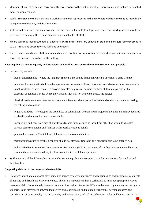- Members of staff of both sexes carry out all tasks according to their job description; there are no jobs that are designated men's or women's jobs.
- Staff are sensitive to the fact that male workers are under-represented in the early years workforce so may be more likely to experience inequality and discrimination.
- Staff should be aware that male workers may be more vulnerable to allegations. Therefore, work practices should be developed to minimise this. These practices are valuable for all staff.
- Where staff may feel threatened, or under attack, from discriminatory behaviour, staff and managers follow procedure 01.12 Threats and abuse towards staff and volunteers.
- There is an ethos wherein staff, parents and children are free to express themselves and speak their own languages in ways that enhance the culture of the setting.

#### **Ensuring that barriers to equality and inclusion are identified and removed or minimised wherever possible.**

- Barriers may include:
	- lack of understanding where the language spoken at the setting is not that which is spoken at a child's home
	- perceived barriers affordability where parents are not aware of financial support available or assume that a service is not available to them. Perceived barriers may also be physical barriers for those children or parents with a disability or additional needs where they assume, they will not be able to access the service
	- physical barriers where there are environmental features which stop a disabled child or disabled parent accessing the setting such as stairs
	- negative attitudes stereotypes and prejudices or commitment by staff and managers to the time and energy required to identify and remove barriers to accessibility
	- unconscious and conscious bias of staff towards some families such as those from other backgrounds, disabled parents, same sex parents and families with specific religious beliefs
	- gendered views of staff which limit children's aspirations and choices
	- misconceptions such as disabled children should not attend settings during a pandemic due to heightened risk
	- lack of effective Information Communication Technology (ICT) in the homes of families who are vulnerable or at risk and therefore unable to keep in close contact with the childcare provider
- Staff are aware of the different barriers to inclusion and equality and consider the wider implications for children and their families.

#### **Supporting children to become considerate adults**

• Children's social and emotional development is shaped by early experiences and relationships and incorporates elements of equality and British and Universal values. The EYFS supports children's earliest skills in an age appropriate way to become social citizens, namely listen and attend to instructions; know the difference between right and wrong; recognise similarities and differences between themselves and others; make and maintain friendships; develop empathy and consideration of other people; take turns in play and conversation; risk taking behaviours, rules and boundaries; not to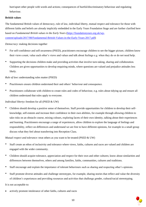hurt/upset other people with words and actions; consequences of hurtful/discriminatory behaviour and regulating behaviour.

#### **British values**

The fundamental British values of democracy, rule of law, individual liberty, mutual respect and tolerance for those with different faiths and beliefs are already implicitly embedded in the Early Years Foundation Stage and are further clarified here based on *Fundamental British values in the Early Years* [\(https://foundationyears.org.uk/wp](https://foundationyears.org.uk/wp-content/uploads/2017/08/Fundamental-British-Values-in-the-Early-Years-2017.pdf)[content/uploads/2017/08/Fundamental-British-Values-in-the-Early-Years-2017.pdf\)](https://foundationyears.org.uk/wp-content/uploads/2017/08/Fundamental-British-Values-in-the-Early-Years-2017.pdf)

*Democracy*: making decisions together

- For self-confidence and self-awareness (PSED), practitioners encourage children to see the bigger picture, children know their views count, value each other's views and values and talk about feelings e.g. when they do or do not need help.
- Supporting the decisions children make and providing activities that involve turn-taking, sharing and collaboration. Children are given opportunities to develop enquiring minds, where questions are valued and prejudice attitudes less likely.

*Rule of law***:** understanding rules matter (PSED)

- Practitioners ensure children understand their and others' behaviour and consequence.
- Practitioners collaborate with children to create rules and codes of behaviour, e.g. rules about tidying up and ensure all children understand that rules apply to everyone.

*Individual liberty***:** freedom for all (PSED & UW)

• Children should develop a positive sense of themselves. Staff provide opportunities for children to develop their selfknowledge, self-esteem and increase their confidence in their own abilities, for example through allowing children to take risks on an obstacle course, mixing colours, exploring facets of their own identity, talking about their experiences and learning. Practitioners encourage a range of experiences, allow children to explore the language of feelings and responsibility, reflect on differences and understand we are free to have different opinions, for example in a small group discuss what they feel about transferring into Reception Class.

*Mutual respect and tolerance*: treat others as you want to be treated (PSED & UW)

- Staff create an ethos of inclusivity and tolerance where views, faiths, cultures and races are valued and children are engaged with the wider community.
- Children should acquire tolerance, appreciation and respect for their own and other cultures; know about similarities and differences between themselves, others and among families, faiths, communities, cultures and traditions.
- Staff encourage and explain the importance of tolerant behaviours such as sharing and respecting other's opinions.
- Staff promote diverse attitudes and challenge stereotypes, for example, sharing stories that reflect and value the diversity of children's experiences and providing resources and activities that challenge gender, cultural/racial stereotyping.

It is not acceptable to:

• actively promote intolerance of other faiths, cultures and races